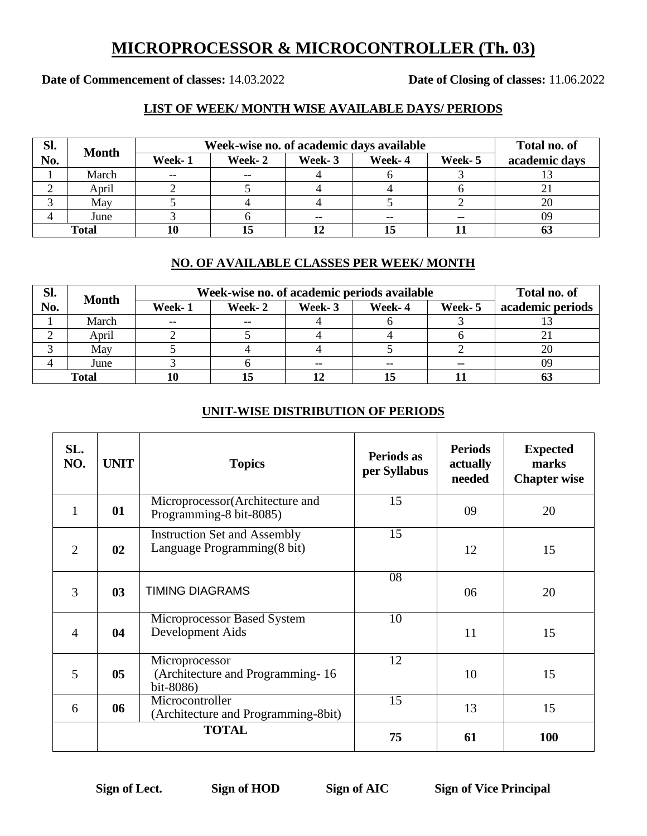## **MICROPROCESSOR & MICROCONTROLLER (Th. 03)**

**Date of Commencement of classes:** 14.03.2022 **Date of Closing of classes:** 11.06.2022

### **LIST OF WEEK/ MONTH WISE AVAILABLE DAYS/ PERIODS**

| SI.          | <b>Month</b> | Week-wise no. of academic days available |        |        |        |         | Total no. of  |
|--------------|--------------|------------------------------------------|--------|--------|--------|---------|---------------|
| No.          |              | Week-1                                   | Week-2 | Week-3 | Week-4 | Week- 5 | academic days |
|              | March        | $- -$                                    | $- -$  |        |        |         |               |
|              | April        |                                          |        |        |        |         |               |
|              | May          |                                          |        |        |        |         |               |
|              | June         |                                          |        |        |        | --      | 09            |
| <b>Total</b> |              |                                          | 15     |        |        |         |               |

#### **NO. OF AVAILABLE CLASSES PER WEEK/ MONTH**

| SI.          | <b>Month</b> | Week-wise no. of academic periods available |         |        |        |         | Total no. of     |
|--------------|--------------|---------------------------------------------|---------|--------|--------|---------|------------------|
| No.          |              | Week-1                                      | Week- 2 | Week-3 | Week-4 | Week- 5 | academic periods |
|              | March        | $- -$                                       | --      |        |        |         |                  |
|              | April        |                                             |         |        |        |         |                  |
|              | May          |                                             |         |        |        |         | 20               |
|              | June         |                                             |         |        |        | --      | 09               |
| <b>Total</b> |              | 10                                          | 15      |        |        |         |                  |

#### **UNIT-WISE DISTRIBUTION OF PERIODS**

| SL.<br>NO.     | <b>UNIT</b>    | <b>Topics</b>                                                       | Periods as<br>per Syllabus | <b>Periods</b><br>actually<br>needed | <b>Expected</b><br>marks<br><b>Chapter wise</b> |
|----------------|----------------|---------------------------------------------------------------------|----------------------------|--------------------------------------|-------------------------------------------------|
| 1              | 01             | Microprocessor(Architecture and<br>Programming-8 bit-8085)          | 15                         | 09                                   | 20                                              |
| $\overline{2}$ | 02             | <b>Instruction Set and Assembly</b><br>Language Programming (8 bit) | 15                         | 12                                   | 15                                              |
| 3              | 03             | <b>TIMING DIAGRAMS</b>                                              | 08                         | 06                                   | 20                                              |
| $\overline{4}$ | 04             | Microprocessor Based System<br>Development Aids                     | 10                         | 11                                   | 15                                              |
| 5              | 0 <sub>5</sub> | Microprocessor<br>(Architecture and Programming - 16)<br>bit-8086)  | 12                         | 10                                   | 15                                              |
| 6              | 06             | Microcontroller<br>(Architecture and Programming-8bit)              | 15                         | 13                                   | 15                                              |
|                |                | <b>TOTAL</b>                                                        | 75                         | 61                                   | <b>100</b>                                      |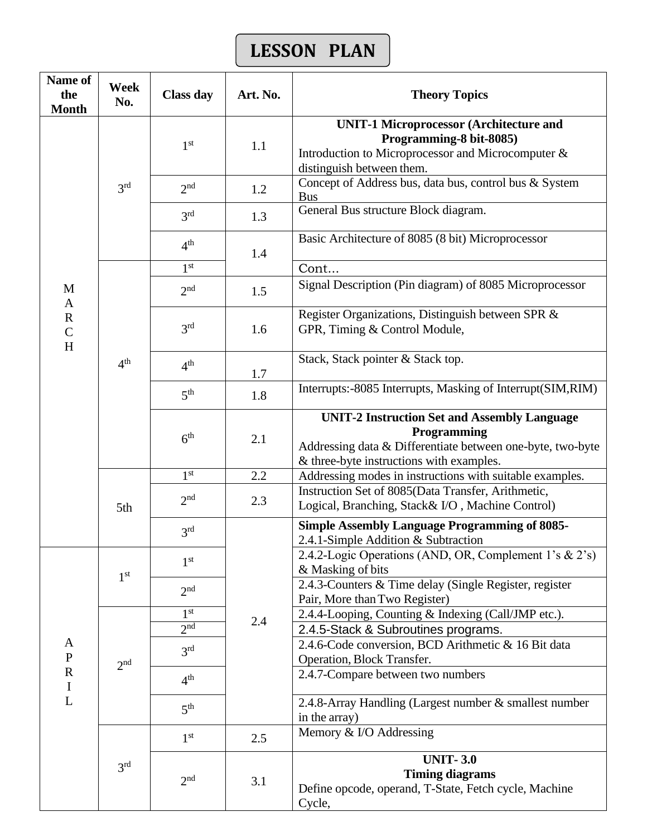# **LESSON PLAN**

| Name of<br>the<br><b>Month</b>  | Week<br>No.     | <b>Class day</b> | Art. No. | <b>Theory Topics</b>                                                                                                                                                         |
|---------------------------------|-----------------|------------------|----------|------------------------------------------------------------------------------------------------------------------------------------------------------------------------------|
|                                 | 3 <sup>rd</sup> | 1 <sup>st</sup>  | 1.1      | <b>UNIT-1 Microprocessor (Architecture and</b><br>Programming-8 bit-8085)<br>Introduction to Microprocessor and Microcomputer &<br>distinguish between them.                 |
|                                 |                 | $2n$ d           | 1.2      | Concept of Address bus, data bus, control bus & System<br><b>Bus</b>                                                                                                         |
|                                 |                 | 3 <sup>rd</sup>  | 1.3      | General Bus structure Block diagram.                                                                                                                                         |
|                                 |                 | 4 <sup>th</sup>  | 1.4      | Basic Architecture of 8085 (8 bit) Microprocessor                                                                                                                            |
|                                 |                 | 1 <sup>st</sup>  |          | Cont                                                                                                                                                                         |
| M<br>$\mathbf{A}$               |                 | 2 <sub>nd</sub>  | 1.5      | Signal Description (Pin diagram) of 8085 Microprocessor                                                                                                                      |
| $\mathbf R$<br>$\mathsf C$<br>H |                 | 3 <sup>rd</sup>  | 1.6      | Register Organizations, Distinguish between SPR &<br>GPR, Timing & Control Module,                                                                                           |
|                                 | 4 <sup>th</sup> | 4 <sup>th</sup>  | 1.7      | Stack, Stack pointer & Stack top.                                                                                                                                            |
|                                 |                 | 5 <sup>th</sup>  | 1.8      | Interrupts:-8085 Interrupts, Masking of Interrupt(SIM,RIM)                                                                                                                   |
|                                 |                 | 6 <sup>th</sup>  | 2.1      | <b>UNIT-2 Instruction Set and Assembly Language</b><br>Programming<br>Addressing data & Differentiate between one-byte, two-byte<br>& three-byte instructions with examples. |
|                                 | 5th             | 1 <sup>st</sup>  | 2.2      | Addressing modes in instructions with suitable examples.                                                                                                                     |
|                                 |                 | 2 <sup>nd</sup>  | 2.3      | Instruction Set of 8085(Data Transfer, Arithmetic,<br>Logical, Branching, Stack& I/O, Machine Control)                                                                       |
|                                 |                 | 3 <sup>rd</sup>  |          | <b>Simple Assembly Language Programming of 8085-</b><br>2.4.1-Simple Addition & Subtraction                                                                                  |
|                                 | 1 <sup>st</sup> | 1 <sup>st</sup>  |          | 2.4.2-Logic Operations (AND, OR, Complement 1's & 2's)<br>& Masking of bits                                                                                                  |
|                                 |                 | 2 <sup>nd</sup>  |          | 2.4.3-Counters & Time delay (Single Register, register<br>Pair, More than Two Register)                                                                                      |
|                                 |                 | 1 <sup>st</sup>  | 2.4      | 2.4.4-Looping, Counting & Indexing (Call/JMP etc.).                                                                                                                          |
|                                 |                 | 2 <sub>nd</sub>  |          | 2.4.5-Stack & Subroutines programs.                                                                                                                                          |
| A<br>$\mathbf{P}$               | 2 <sub>nd</sub> | 3 <sup>rd</sup>  |          | 2.4.6-Code conversion, BCD Arithmetic & 16 Bit data<br>Operation, Block Transfer.                                                                                            |
| ${\bf R}$<br>$\mathbf I$        |                 | 4 <sup>th</sup>  |          | 2.4.7-Compare between two numbers                                                                                                                                            |
| $\overline{L}$                  |                 | 5 <sup>th</sup>  |          | 2.4.8-Array Handling (Largest number & smallest number<br>in the array)                                                                                                      |
|                                 |                 | 1 <sup>st</sup>  | 2.5      | Memory & I/O Addressing                                                                                                                                                      |
|                                 | 3 <sup>rd</sup> | 2 <sub>nd</sub>  | 3.1      | <b>UNIT-3.0</b><br><b>Timing diagrams</b><br>Define opcode, operand, T-State, Fetch cycle, Machine<br>Cycle,                                                                 |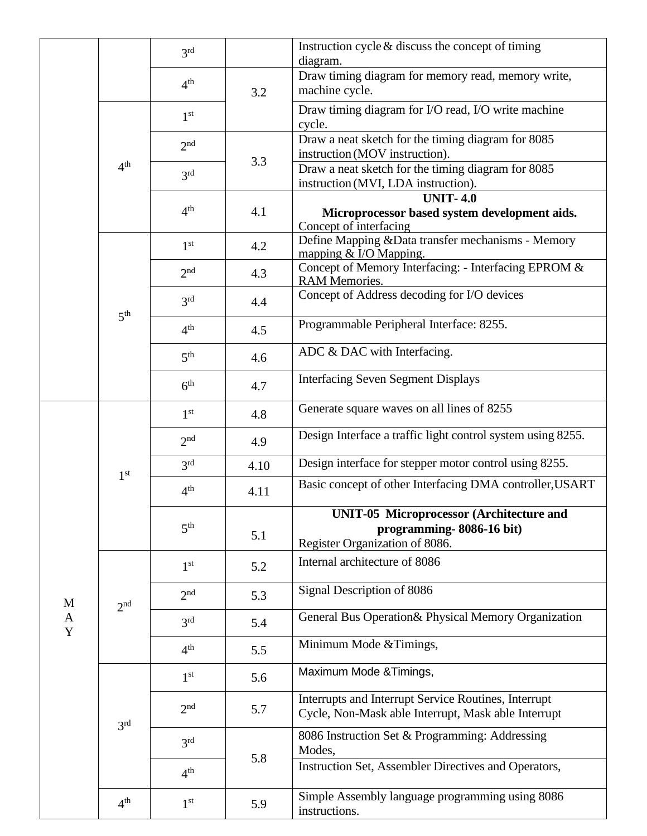|        |                 | 3 <sup>rd</sup> |      | Instruction cycle $\&$ discuss the concept of timing<br>diagram.                                              |
|--------|-----------------|-----------------|------|---------------------------------------------------------------------------------------------------------------|
|        |                 | 4 <sup>th</sup> | 3.2  | Draw timing diagram for memory read, memory write,<br>machine cycle.                                          |
|        | 4 <sup>th</sup> | 1 <sup>st</sup> |      | Draw timing diagram for I/O read, I/O write machine<br>cycle.                                                 |
|        |                 | 2 <sub>nd</sub> | 3.3  | Draw a neat sketch for the timing diagram for 8085<br>instruction (MOV instruction).                          |
|        |                 | 3 <sup>rd</sup> |      | Draw a neat sketch for the timing diagram for 8085<br>instruction (MVI, LDA instruction).                     |
|        |                 | 4 <sup>th</sup> | 4.1  | <b>UNIT-4.0</b><br>Microprocessor based system development aids.<br>Concept of interfacing                    |
|        |                 | 1 <sup>st</sup> | 4.2  | Define Mapping & Data transfer mechanisms - Memory<br>mapping $&$ I/O Mapping.                                |
|        |                 | 2 <sup>nd</sup> | 4.3  | Concept of Memory Interfacing: - Interfacing EPROM &<br>RAM Memories.                                         |
|        | 5 <sup>th</sup> | 3 <sup>rd</sup> | 4.4  | Concept of Address decoding for I/O devices                                                                   |
|        |                 | 4 <sup>th</sup> | 4.5  | Programmable Peripheral Interface: 8255.                                                                      |
|        |                 | 5 <sup>th</sup> | 4.6  | ADC & DAC with Interfacing.                                                                                   |
|        |                 | 6 <sup>th</sup> | 4.7  | <b>Interfacing Seven Segment Displays</b>                                                                     |
|        | 1 <sup>st</sup> | 1 <sup>st</sup> | 4.8  | Generate square waves on all lines of 8255                                                                    |
|        |                 | 2 <sup>nd</sup> | 4.9  | Design Interface a traffic light control system using 8255.                                                   |
|        |                 | 3 <sup>rd</sup> | 4.10 | Design interface for stepper motor control using 8255.                                                        |
|        |                 | 4 <sup>th</sup> | 4.11 | Basic concept of other Interfacing DMA controller, USART                                                      |
|        |                 | 5 <sup>th</sup> | 5.1  | <b>UNIT-05 Microprocessor (Architecture and</b><br>programming-8086-16 bit)<br>Register Organization of 8086. |
|        | 2 <sub>nd</sub> | 1 <sup>st</sup> | 5.2  | Internal architecture of 8086                                                                                 |
| M      |                 | 2 <sub>nd</sub> | 5.3  | Signal Description of 8086                                                                                    |
| A<br>Y |                 | 3 <sup>rd</sup> | 5.4  | General Bus Operation & Physical Memory Organization                                                          |
|        |                 | 4 <sup>th</sup> | 5.5  | Minimum Mode & Timings,                                                                                       |
|        |                 | 1 <sup>st</sup> | 5.6  | Maximum Mode & Timings,                                                                                       |
|        | 3 <sup>rd</sup> | 2 <sub>nd</sub> | 5.7  | Interrupts and Interrupt Service Routines, Interrupt<br>Cycle, Non-Mask able Interrupt, Mask able Interrupt   |
|        |                 | 3 <sup>rd</sup> | 5.8  | 8086 Instruction Set & Programming: Addressing<br>Modes,                                                      |
|        |                 | 4 <sup>th</sup> |      | Instruction Set, Assembler Directives and Operators,                                                          |
|        | 4 <sup>th</sup> | 1 <sup>st</sup> | 5.9  | Simple Assembly language programming using 8086<br>instructions.                                              |